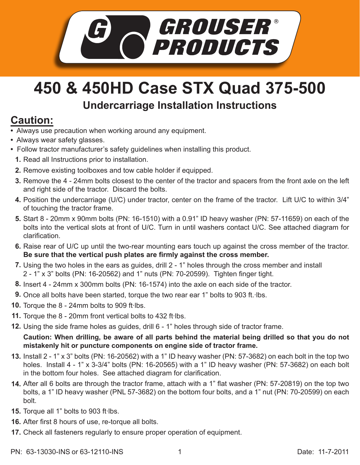

## **450 & 450HD Case STX Quad 375-500**

## **Undercarriage Installation Instructions**

## **Caution:**

- Always use precaution when working around any equipment.
- Always wear safety glasses.
- Follow tractor manufacturer's safety guidelines when installing this product.
	- **1.** Read all Instructions prior to installation.
	- **2.** Remove existing toolboxes and tow cable holder if equipped.
	- **3.** Remove the 4 24mm bolts closest to the center of the tractor and spacers from the front axle on the left and right side of the tractor. Discard the bolts.
	- 4. Position the undercarriage (U/C) under tractor, center on the frame of the tractor. Lift U/C to within 3/4" of touching the tractor frame.
	- Start 8 20mm x 90mm bolts (PN: 16-1510) with a 0.91" ID heavy washer (PN: 57-11659) on each of the **5.** bolts into the vertical slots at front of U/C. Turn in until washers contact U/C. See attached diagram for clarification.
	- 6. Raise rear of U/C up until the two-rear mounting ears touch up against the cross member of the tractor. **Be sure that the vertical push plates are firmly against the cross member.**
	- 7. Using the two holes in the ears as guides, drill 2 1" holes through the cross member and install 2 - 1" x 3" bolts (PN: 16-20562) and 1" nuts (PN: 70-20599). Tighten finger tight.
	- Insert 4 24mm x 300mm bolts (PN: 16-1574) into the axle on each side of the tractor. **8.**
	- 9. Once all bolts have been started, torque the two rear ear 1" bolts to 903 ft. Ibs.
- 10. Torque the 8 24mm bolts to 909 ft lbs.
- 11. Torque the 8 20mm front vertical bolts to 432 ft·lbs.
- Using the side frame holes as guides, drill 6 1" holes through side of tractor frame. **12.**

**Caution: When drilling, be aware of all parts behind the material being drilled so that you do not mistakenly hit or puncture components on engine side of tractor frame.**

- Install 2 1" x 3" bolts (PN: 16-20562) with a 1" ID heavy washer (PN: 57-3682) on each bolt in the top two **13.** holes. Install 4 - 1" x 3-3/4" bolts (PN: 16-20565) with a 1" ID heavy washer (PN: 57-3682) on each bolt in the bottom four holes. See attached diagram for clarification.
- After all 6 bolts are through the tractor frame, attach with a 1" flat washer (PN: 57-20819) on the top two **14.** bolts, a 1" ID heavy washer (PNL 57-3682) on the bottom four bolts, and a 1" nut (PN: 70-20599) on each bolt.
- 15. Torque all 1" bolts to 903 ft·lbs.
- **16.** After first 8 hours of use, re-torque all bolts.
- **17.** Check all fasteners regularly to ensure proper operation of equipment.

PN: 63-13030-INS or 63-12110-INS 1 1 1 1 0 1 0 1 1 Date: 11-7-2011